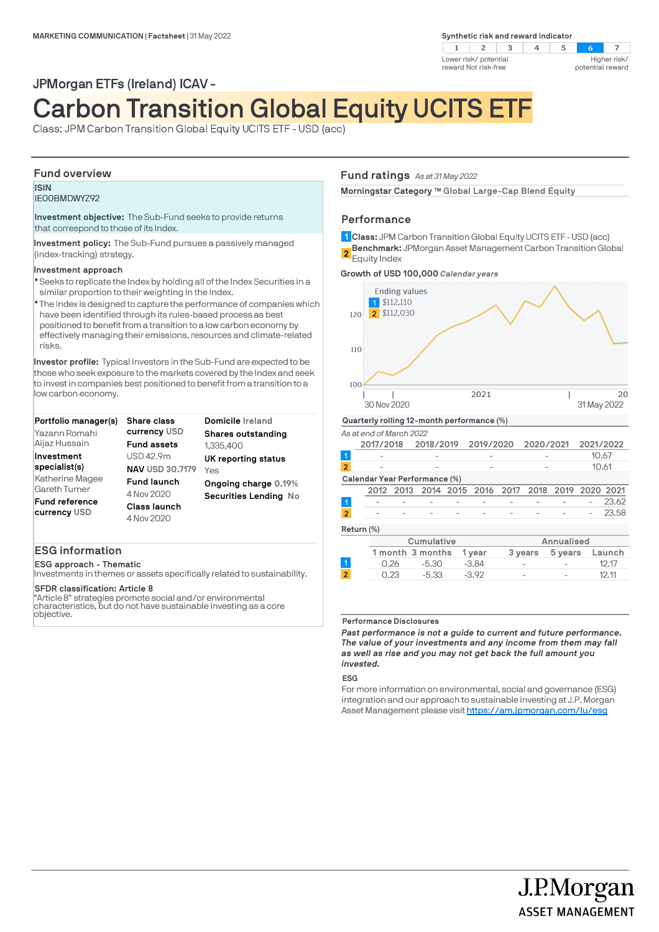# **Synthetic risk and reward indicator**



# JPMorgan ETFs (Ireland) ICAV -

# Carbon Transition Global Equity UCITS ETF

Class: JPM Carbon Transition Global Equity UCITS ETF - USD (acc)

# **Fund overview**

# **ISIN** IE00BMDWYZ92

**Investment objective:** The Sub-Fund seeks to provide returns that correspond to those of its Index.

**Investment policy:** The Sub-Fund pursues a passively managed (index-tracking) strategy.

# **Investment approach**

- Seeks to replicate the Index by holding all of the Index Securities in a l similar proportion to their weighting in the Index.
- The Index is designed to capture the performance of companies which l have been identified through its rules-based process as best positioned to benefit from a transition to a low carbon economy by effectively managing their emissions, resources and climate-related risks.

**Investor profile:** Typical investors in the Sub-Fund are expected to be those who seek exposure to the markets covered by the Index and seek to invest in companies best positioned to benefit from a transition to a low carbon economy.

| Portfolio manager(s)                  | <b>Share class</b>         | Domicile Ireland      |  |  |
|---------------------------------------|----------------------------|-----------------------|--|--|
| Yazann Romahi                         | currency USD               | Shares outstanding    |  |  |
| Aijaz Hussain                         | <b>Fund assets</b>         | 1,335,400             |  |  |
| Investment                            | USD 42.9m                  | UK reporting status   |  |  |
| specialist(s)                         | <b>NAV USD 30.7179</b>     | Yes                   |  |  |
| Katherine Magee                       | <b>Fund launch</b>         | Ongoing charge 0.19%  |  |  |
| <b>Gareth Turner</b>                  | 4 Nov 2020                 | Securities Lending No |  |  |
| <b>Fund reference</b><br>currency USD | Class launch<br>4 Nov 2020 |                       |  |  |
|                                       |                            |                       |  |  |

# **ESG information**

**ESG approach - Thematic**

Investments in themes or assets specifically related to sustainability.

# **SFDR classification: Article 8**

"Article 8" strategies promote social and/or environmental characteristics, but do not have sustainable investing as a core objective.

# **Fund ratings** *As at 31 May 2022*

Morningstar Category ™ Global Large-Cap Blend Equity

# **Performance**

**Class:** JPM Carbon Transition Global Equity UCITS ETF - USD (acc) **1 Benchmark:** JPMorgan Asset Management Carbon Transition Global **2** Equity Index

**Growth of USD 100,000** *Calendar years*



#### **Performance Disclosures**

*Past performance is not a guide to current and future performance. The value of your investments and any income from them may fall as well as rise and you may not get back the full amount you invested.* 

0.23 -5.33 -3.92 - - 12.11

# **ESG**

 $\overline{2}$ 

For more information on environmental, social and governance (ESG) integration and our approach to sustainable investing at J.P. Morgan Asset Management please visit https://am.jpmorgan.com/lu/esg

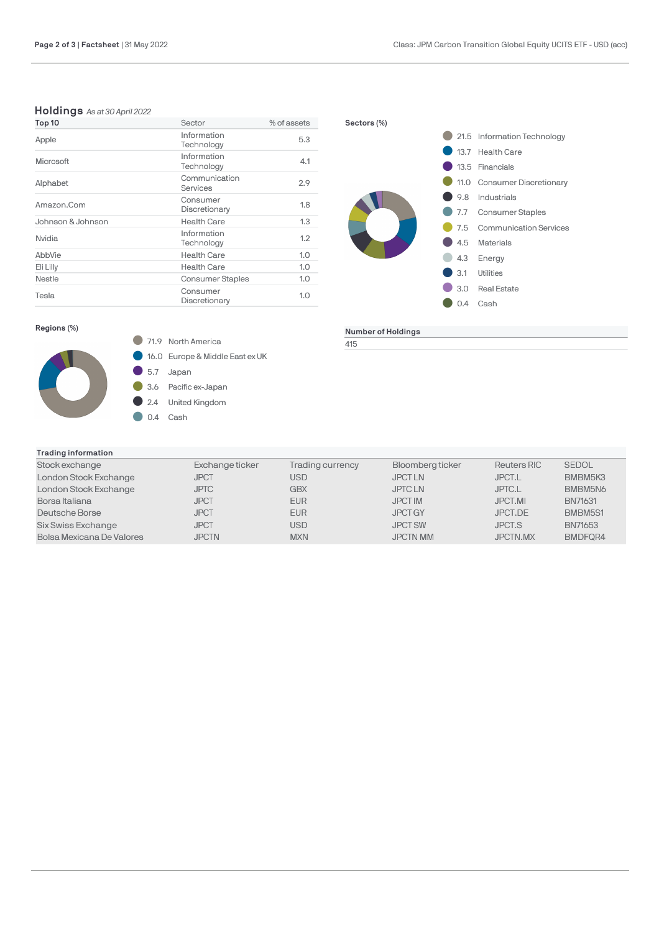# **Holdings** *As at 30 April 2022*

| Top 10            | Sector                    | % of assets |  |
|-------------------|---------------------------|-------------|--|
| Apple             | Information<br>Technology | 5.3         |  |
| Microsoft         | Information<br>Technology | 4.1         |  |
| Alphabet          | Communication<br>Services | 2.9         |  |
| Amazon.Com        | Consumer<br>Discretionary | 1.8         |  |
| Johnson & Johnson | <b>Health Care</b>        | 1.3         |  |
| Nvidia            | Information<br>Technology | 1.2         |  |
| AbbVie            | <b>Health Care</b>        | 1.0         |  |
| Eli Lilly         | <b>Health Care</b>        | 1.0         |  |
| Nestle            | <b>Consumer Staples</b>   | 1.0         |  |
| Tesla             | Consumer<br>Discretionary | 1.0         |  |



**Number of Holdings**

415

# **Regions (%)**



**16.0** Europe & Middle East ex UK

5.7 Japan

- 3.6 Pacific ex-Japan
- 2.4 United Kingdom

 $\bullet$  0.4 Cash

| Trading information |
|---------------------|
|                     |

| Stock exchange            | Exchange ticker | Trading currency | Bloomberg ticker | <b>Reuters RIC</b> | <b>SEDOL</b> |
|---------------------------|-----------------|------------------|------------------|--------------------|--------------|
| London Stock Exchange     | <b>JPCT</b>     | USD.             | <b>JPCTLN</b>    | JPCT.L             | BMBM5K3      |
| London Stock Exchange     | <b>JPTC</b>     | GBX              | <b>JPTCLN</b>    | JPTC.L             | BMBM5N6      |
| Borsa Italiana            | <b>JPCT</b>     | <b>EUR</b>       | <b>JPCT IM</b>   | JPCT.MI            | BN71631      |
| Deutsche Borse            | <b>JPCT</b>     | <b>EUR</b>       | <b>JPCT GY</b>   | JPCT.DE            | BMBM5S1      |
| Six Swiss Exchange        | <b>JPCT</b>     | USD.             | <b>JPCT SW</b>   | <b>JPCT.S</b>      | BN71653      |
| Bolsa Mexicana De Valores | <b>JPCTN</b>    | <b>MXN</b>       | <b>JPCTN MM</b>  | JPCTN.MX           | BMDFQR4      |
|                           |                 |                  |                  |                    |              |